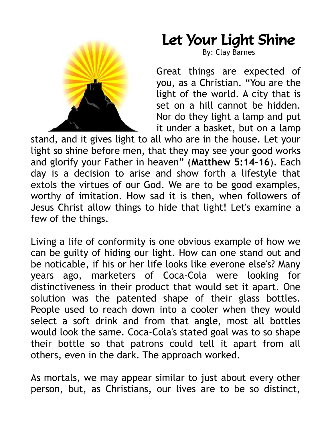

## Let Your Light Shine

By: Clay Barnes

Great things are expected of you, as a Christian. "You are the light of the world. A city that is set on a hill cannot be hidden. Nor do they light a lamp and put it under a basket, but on a lamp

stand, and it gives light to all who are in the house. Let your light so shine before men, that they may see your good works and glorify your Father in heaven" (**Matthew 5:14-16**). Each day is a decision to arise and show forth a lifestyle that extols the virtues of our God. We are to be good examples, worthy of imitation. How sad it is then, when followers of Jesus Christ allow things to hide that light! Let's examine a few of the things.

Living a life of conformity is one obvious example of how we can be guilty of hiding our light. How can one stand out and be noticable, if his or her life looks like everone else's? Many years ago, marketers of Coca-Cola were looking for distinctiveness in their product that would set it apart. One solution was the patented shape of their glass bottles. People used to reach down into a cooler when they would select a soft drink and from that angle, most all bottles would look the same. Coca-Cola's stated goal was to so shape their bottle so that patrons could tell it apart from all others, even in the dark. The approach worked.

As mortals, we may appear similar to just about every other person, but, as Christians, our lives are to be so distinct,